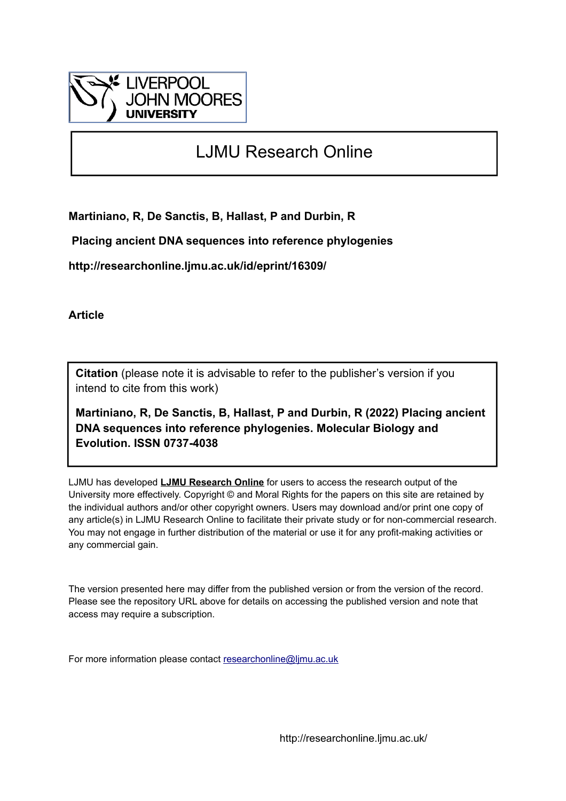

# LJMU Research Online

**Martiniano, R, De Sanctis, B, Hallast, P and Durbin, R**

 **Placing ancient DNA sequences into reference phylogenies**

**http://researchonline.ljmu.ac.uk/id/eprint/16309/**

**Article**

**Citation** (please note it is advisable to refer to the publisher's version if you intend to cite from this work)

**Martiniano, R, De Sanctis, B, Hallast, P and Durbin, R (2022) Placing ancient DNA sequences into reference phylogenies. Molecular Biology and Evolution. ISSN 0737-4038** 

LJMU has developed **[LJMU Research Online](http://researchonline.ljmu.ac.uk/)** for users to access the research output of the University more effectively. Copyright © and Moral Rights for the papers on this site are retained by the individual authors and/or other copyright owners. Users may download and/or print one copy of any article(s) in LJMU Research Online to facilitate their private study or for non-commercial research. You may not engage in further distribution of the material or use it for any profit-making activities or any commercial gain.

The version presented here may differ from the published version or from the version of the record. Please see the repository URL above for details on accessing the published version and note that access may require a subscription.

For more information please contact [researchonline@ljmu.ac.uk](mailto:researchonline@ljmu.ac.uk)

http://researchonline.ljmu.ac.uk/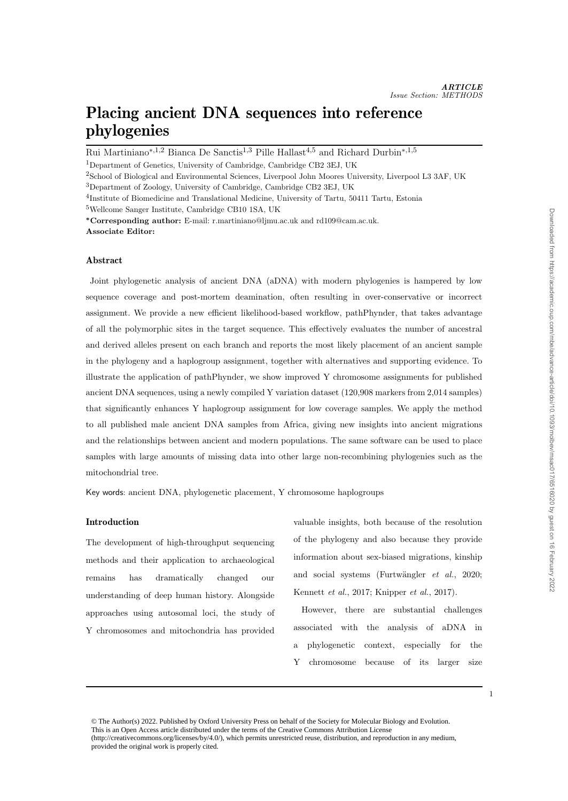# Placing ancient DNA sequences into reference phylogenies

Rui Martiniano<sup>∗,1,2</sup> Bianca De Sanctis<sup>1,3</sup> Pille Hallast<sup>4,5</sup> and Richard Durbin<sup>∗,1,5</sup>

<sup>1</sup>Department of Genetics, University of Cambridge, Cambridge CB2 3EJ, UK

<sup>2</sup>School of Biological and Environmental Sciences, Liverpool John Moores University, Liverpool L3 3AF, UK <sup>3</sup>Department of Zoology, University of Cambridge, Cambridge CB2 3EJ, UK

<sup>4</sup>Institute of Biomedicine and Translational Medicine, University of Tartu, 50411 Tartu, Estonia

<sup>5</sup>Wellcome Sanger Institute, Cambridge CB10 1SA, UK

<sup>∗</sup>Corresponding author: E-mail: r.martiniano@ljmu.ac.uk and rd109@cam.ac.uk. Associate Editor:

## Abstract

Joint phylogenetic analysis of ancient DNA (aDNA) with modern phylogenies is hampered by low sequence coverage and post-mortem deamination, often resulting in over-conservative or incorrect assignment. We provide a new efficient likelihood-based workflow, pathPhynder, that takes advantage of all the polymorphic sites in the target sequence. This effectively evaluates the number of ancestral and derived alleles present on each branch and reports the most likely placement of an ancient sample in the phylogeny and a haplogroup assignment, together with alternatives and supporting evidence. To illustrate the application of pathPhynder, we show improved Y chromosome assignments for published ancient DNA sequences, using a newly compiled Y variation dataset (120,908 markers from 2,014 samples) that significantly enhances Y haplogroup assignment for low coverage samples. We apply the method to all published male ancient DNA samples from Africa, giving new insights into ancient migrations and the relationships between ancient and modern populations. The same software can be used to place samples with large amounts of missing data into other large non-recombining phylogenies such as the mitochondrial tree.

Key words: ancient DNA, phylogenetic placement, Y chromosome haplogroups

## Introduction

The development of high-throughput sequencing methods and their application to archaeological remains has dramatically changed our understanding of deep human history. Alongside approaches using autosomal loci, the study of Y chromosomes and mitochondria has provided

valuable insights, both because of the resolution of the phylogeny and also because they provide information about sex-biased migrations, kinship and social systems (Furtwängler  $et \ al., \ 2020;$ Kennett et al., 2017; Knipper et al., 2017).

However, there are substantial challenges associated with the analysis of aDNA in a phylogenetic context, especially for the Y chromosome because of its larger size Downloaded from https://academic.oup.com/mbe/advance-article/doi/10.1093/molbev/msac017/6516020 by guest on 16 February 2022 Downloaded from https://academic.oup.com/mbe/advance-article/doi/10.1093/molbev/msac017/6516020 by guest on 16 February 2022

<sup>1</sup>

<sup>©</sup> The Author(s) 2022. Published by Oxford University Press on behalf of the Society for Molecular Biology and Evolution. This is an Open Access article distributed under the terms of the Creative Commons Attribution License (http://creativecommons.org/licenses/by/4.0/), which permits unrestricted reuse, distribution, and reproduction in any medium, provided the original work is properly cited.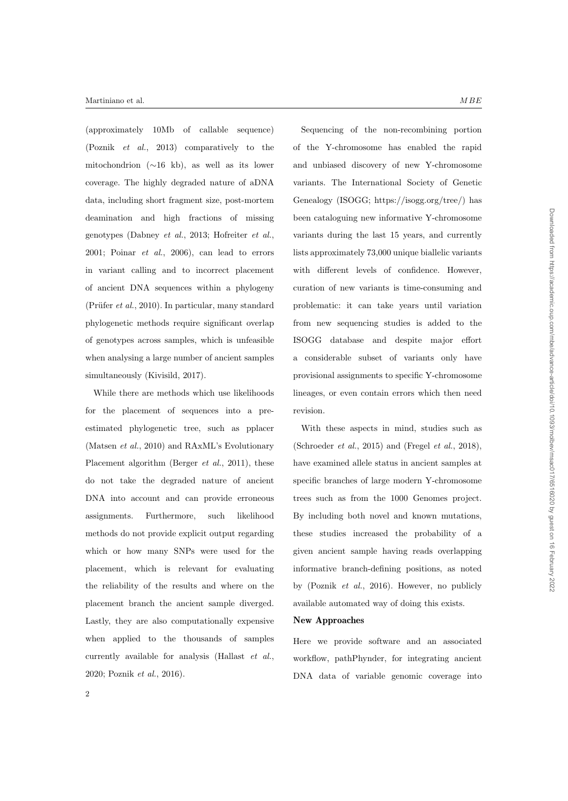(approximately 10Mb of callable sequence) (Poznik et al., 2013) comparatively to the mitochondrion (∼16 kb), as well as its lower coverage. The highly degraded nature of aDNA data, including short fragment size, post-mortem deamination and high fractions of missing genotypes (Dabney et al., 2013; Hofreiter et al., 2001; Poinar et al., 2006), can lead to errors in variant calling and to incorrect placement of ancient DNA sequences within a phylogeny (Prüfer  $et al., 2010$ ). In particular, many standard phylogenetic methods require significant overlap of genotypes across samples, which is unfeasible when analysing a large number of ancient samples simultaneously (Kivisild, 2017).

While there are methods which use likelihoods for the placement of sequences into a preestimated phylogenetic tree, such as pplacer (Matsen et al., 2010) and RAxML's Evolutionary Placement algorithm (Berger *et al.*, 2011), these do not take the degraded nature of ancient DNA into account and can provide erroneous assignments. Furthermore, such likelihood methods do not provide explicit output regarding which or how many SNPs were used for the placement, which is relevant for evaluating the reliability of the results and where on the placement branch the ancient sample diverged. Lastly, they are also computationally expensive when applied to the thousands of samples currently available for analysis (Hallast et al., 2020; Poznik et al., 2016).

Sequencing of the non-recombining portion of the Y-chromosome has enabled the rapid and unbiased discovery of new Y-chromosome variants. The International Society of Genetic Genealogy (ISOGG; https://isogg.org/tree/) has been cataloguing new informative Y-chromosome variants during the last 15 years, and currently lists approximately 73,000 unique biallelic variants with different levels of confidence. However, curation of new variants is time-consuming and problematic: it can take years until variation from new sequencing studies is added to the ISOGG database and despite major effort a considerable subset of variants only have provisional assignments to specific Y-chromosome lineages, or even contain errors which then need revision.

With these aspects in mind, studies such as (Schroeder  $et \ al.,\ 2015$ ) and (Fregel  $et \ al.,\ 2018$ ), have examined allele status in ancient samples at specific branches of large modern Y-chromosome trees such as from the 1000 Genomes project. By including both novel and known mutations, these studies increased the probability of a given ancient sample having reads overlapping informative branch-defining positions, as noted by (Poznik et al., 2016). However, no publicly available automated way of doing this exists.

#### New Approaches

Here we provide software and an associated workflow, pathPhynder, for integrating ancient DNA data of variable genomic coverage into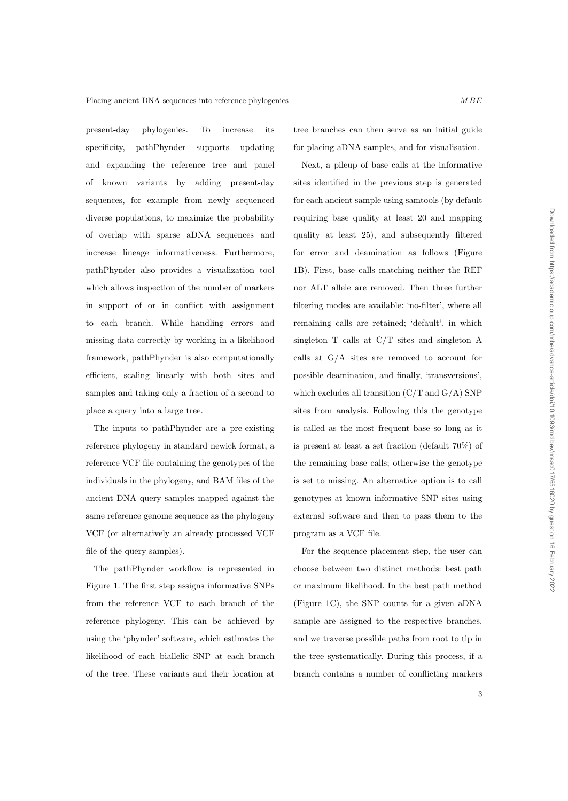present-day phylogenies. To increase its specificity, pathPhynder supports updating and expanding the reference tree and panel of known variants by adding present-day sequences, for example from newly sequenced diverse populations, to maximize the probability of overlap with sparse aDNA sequences and increase lineage informativeness. Furthermore, pathPhynder also provides a visualization tool which allows inspection of the number of markers in support of or in conflict with assignment to each branch. While handling errors and missing data correctly by working in a likelihood framework, pathPhynder is also computationally efficient, scaling linearly with both sites and samples and taking only a fraction of a second to place a query into a large tree.

The inputs to pathPhynder are a pre-existing reference phylogeny in standard newick format, a reference VCF file containing the genotypes of the individuals in the phylogeny, and BAM files of the ancient DNA query samples mapped against the same reference genome sequence as the phylogeny VCF (or alternatively an already processed VCF file of the query samples).

The pathPhynder workflow is represented in Figure 1. The first step assigns informative SNPs from the reference VCF to each branch of the reference phylogeny. This can be achieved by using the 'phynder' software, which estimates the likelihood of each biallelic SNP at each branch of the tree. These variants and their location at

tree branches can then serve as an initial guide for placing aDNA samples, and for visualisation.

Next, a pileup of base calls at the informative sites identified in the previous step is generated for each ancient sample using samtools (by default requiring base quality at least 20 and mapping quality at least 25), and subsequently filtered for error and deamination as follows (Figure 1B). First, base calls matching neither the REF nor ALT allele are removed. Then three further filtering modes are available: 'no-filter', where all remaining calls are retained; 'default', in which singleton T calls at C/T sites and singleton A calls at G/A sites are removed to account for possible deamination, and finally, 'transversions', which excludes all transition  $(C/T \text{ and } G/A)$  SNP sites from analysis. Following this the genotype is called as the most frequent base so long as it is present at least a set fraction (default 70%) of the remaining base calls; otherwise the genotype is set to missing. An alternative option is to call genotypes at known informative SNP sites using external software and then to pass them to the program as a VCF file.

For the sequence placement step, the user can choose between two distinct methods: best path or maximum likelihood. In the best path method (Figure 1C), the SNP counts for a given aDNA sample are assigned to the respective branches, and we traverse possible paths from root to tip in the tree systematically. During this process, if a branch contains a number of conflicting markers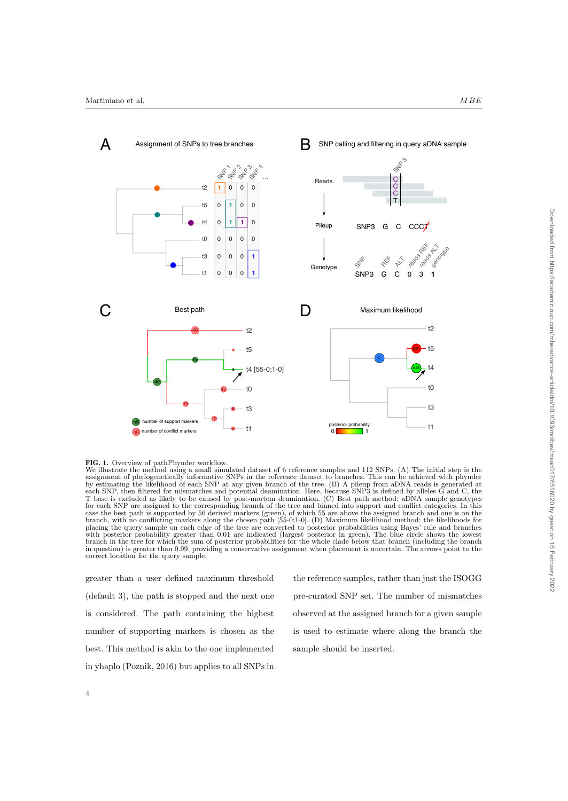



We illustrate the method using a small simulated dataset of 6 reference samples and 112 SNPs. (A) The initial step is the assignment of phylogenetically informative SNPs in the reference dataset to branches. This can be achieved with phynder by estimating the likelihood of each SNP at any given branch of the tree. (B) A pileup from aDNA reads is generated at each SNP, then filtered for mismatches and potential deamination. Here, because SNP3 is defined by alleles G and C, the T base is excluded as likely to be caused by post-mortem deamination. (C) Best path method: aDNA sample genotypes for each SNP are assigned to the corresponding branch of the tree and binned into support and conflict categories. In this case the best path is supported by 56 derived markers (green), of which 55 are above the assigned branch and one is on the branch, with no conflicting markers along the chosen path [55-0;1-0]. (D) Maximum likelihood method: the likelihoods for placing the query sample on each edge of the tree are converted to posterior probabilities using Bayes' rule and branches with posterior probability greater than 0.01 are indicated (largest posterior in green). The blue circle shows the lowest branch in the tree for which the sum of posterior probabilities for the whole clade below that branch (including the branch in question) is greater than 0.99, providing a conservative assignment when placement is uncertain. The arrows point to the correct location for the query sample.

greater than a user defined maximum threshold (default 3), the path is stopped and the next one is considered. The path containing the highest number of supporting markers is chosen as the best. This method is akin to the one implemented in yhaplo (Poznik, 2016) but applies to all SNPs in

the reference samples, rather than just the ISOGG pre-curated SNP set. The number of mismatches observed at the assigned branch for a given sample is used to estimate where along the branch the sample should be inserted.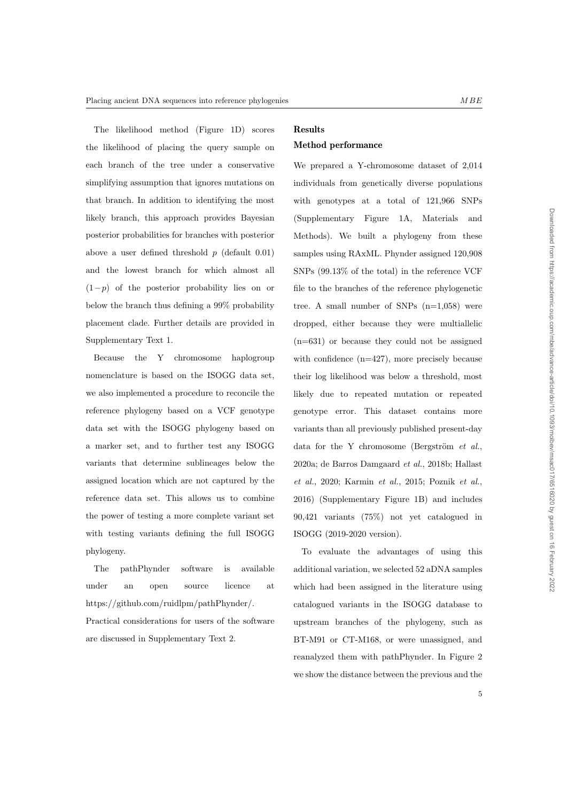The likelihood method (Figure 1D) scores the likelihood of placing the query sample on each branch of the tree under a conservative simplifying assumption that ignores mutations on that branch. In addition to identifying the most likely branch, this approach provides Bayesian posterior probabilities for branches with posterior above a user defined threshold  $p$  (default 0.01) and the lowest branch for which almost all  $(1-p)$  of the posterior probability lies on or below the branch thus defining a 99% probability placement clade. Further details are provided in Supplementary Text 1.

Because the Y chromosome haplogroup nomenclature is based on the ISOGG data set, we also implemented a procedure to reconcile the reference phylogeny based on a VCF genotype data set with the ISOGG phylogeny based on a marker set, and to further test any ISOGG variants that determine sublineages below the assigned location which are not captured by the reference data set. This allows us to combine the power of testing a more complete variant set with testing variants defining the full ISOGG phylogeny.

The pathPhynder software is available under an open source licence at https://github.com/ruidlpm/pathPhynder/.

Practical considerations for users of the software are discussed in Supplementary Text 2.

# Results

# Method performance

We prepared a Y-chromosome dataset of 2,014 individuals from genetically diverse populations with genotypes at a total of 121,966 SNPs (Supplementary Figure 1A, Materials and Methods). We built a phylogeny from these samples using RAxML. Phynder assigned 120,908 SNPs (99.13% of the total) in the reference VCF file to the branches of the reference phylogenetic tree. A small number of SNPs  $(n=1,058)$  were dropped, either because they were multiallelic (n=631) or because they could not be assigned with confidence (n=427), more precisely because their log likelihood was below a threshold, most likely due to repeated mutation or repeated genotype error. This dataset contains more variants than all previously published present-day data for the Y chromosome (Bergström  $et$   $al.,$ 2020a; de Barros Damgaard et al., 2018b; Hallast et al., 2020; Karmin et al., 2015; Poznik et al., 2016) (Supplementary Figure 1B) and includes 90,421 variants (75%) not yet catalogued in ISOGG (2019-2020 version).

To evaluate the advantages of using this additional variation, we selected 52 aDNA samples which had been assigned in the literature using catalogued variants in the ISOGG database to upstream branches of the phylogeny, such as BT-M91 or CT-M168, or were unassigned, and reanalyzed them with pathPhynder. In Figure 2 we show the distance between the previous and the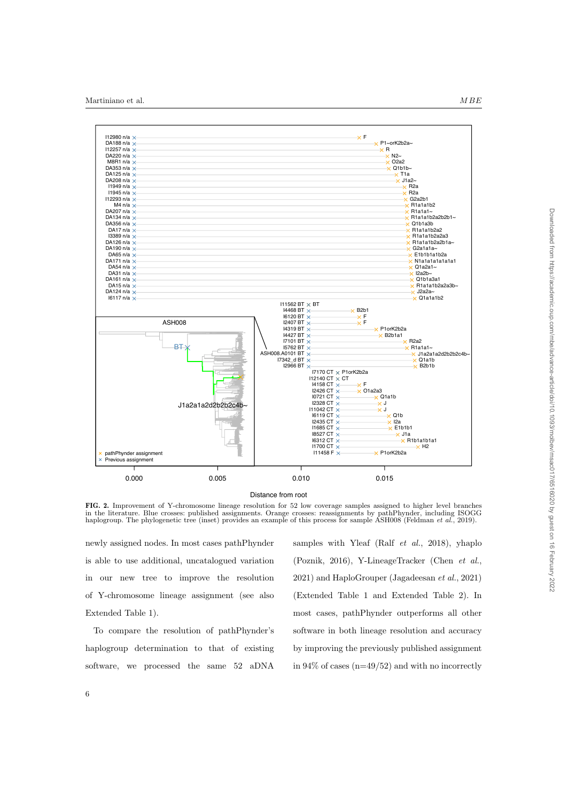

Distance from root

FIG. 2. Improvement of Y-chromosome lineage resolution for 52 low coverage samples assigned to higher level branches in the literature. Blue crosses: published assignments. Orange crosses: reassignments by pathPhynder, including ISOGG haplogroup. The phylogenetic tree (inset) provides an example of this process for sample ASH008 (Feldman et al., 2019).

newly assigned nodes. In most cases pathPhynder is able to use additional, uncatalogued variation in our new tree to improve the resolution of Y-chromosome lineage assignment (see also Extended Table 1).

To compare the resolution of pathPhynder's haplogroup determination to that of existing software, we processed the same 52 aDNA samples with Yleaf (Ralf et al., 2018), yhaplo (Poznik, 2016), Y-LineageTracker (Chen et al., 2021) and HaploGrouper (Jagadeesan et al., 2021) (Extended Table 1 and Extended Table 2). In most cases, pathPhynder outperforms all other software in both lineage resolution and accuracy by improving the previously published assignment in  $94\%$  of cases (n=49/52) and with no incorrectly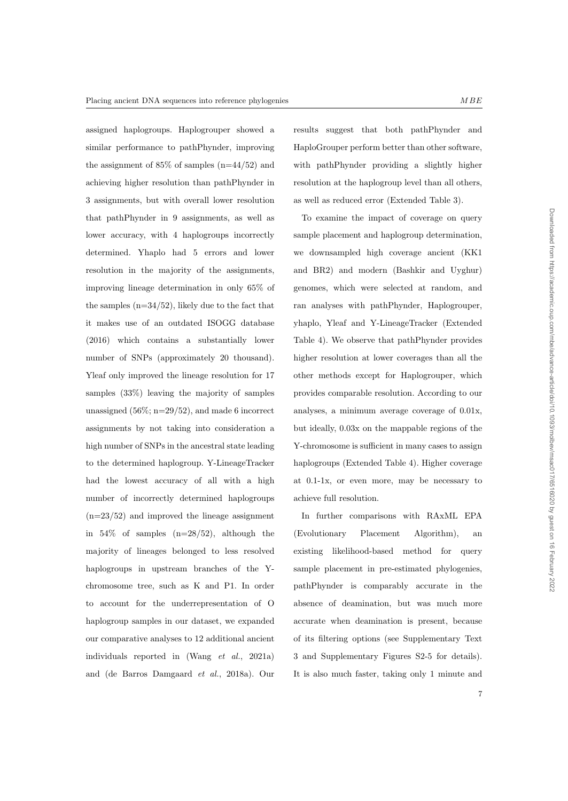assigned haplogroups. Haplogrouper showed a similar performance to pathPhynder, improving the assignment of  $85\%$  of samples  $(n=44/52)$  and achieving higher resolution than pathPhynder in 3 assignments, but with overall lower resolution that pathPhynder in 9 assignments, as well as lower accuracy, with 4 haplogroups incorrectly determined. Yhaplo had 5 errors and lower resolution in the majority of the assignments, improving lineage determination in only 65% of the samples  $(n=34/52)$ , likely due to the fact that it makes use of an outdated ISOGG database (2016) which contains a substantially lower number of SNPs (approximately 20 thousand). Yleaf only improved the lineage resolution for 17 samples (33%) leaving the majority of samples unassigned  $(56\%; n=29/52)$ , and made 6 incorrect assignments by not taking into consideration a high number of SNPs in the ancestral state leading to the determined haplogroup. Y-LineageTracker had the lowest accuracy of all with a high number of incorrectly determined haplogroups  $(n=23/52)$  and improved the lineage assignment in  $54\%$  of samples  $(n=28/52)$ , although the majority of lineages belonged to less resolved haplogroups in upstream branches of the Ychromosome tree, such as K and P1. In order to account for the underrepresentation of O haplogroup samples in our dataset, we expanded our comparative analyses to 12 additional ancient individuals reported in (Wang et al., 2021a) and (de Barros Damgaard et al., 2018a). Our results suggest that both pathPhynder and HaploGrouper perform better than other software, with pathPhynder providing a slightly higher resolution at the haplogroup level than all others, as well as reduced error (Extended Table 3).

To examine the impact of coverage on query sample placement and haplogroup determination, we downsampled high coverage ancient (KK1 and BR2) and modern (Bashkir and Uyghur) genomes, which were selected at random, and ran analyses with pathPhynder, Haplogrouper, yhaplo, Yleaf and Y-LineageTracker (Extended Table 4). We observe that pathPhynder provides higher resolution at lower coverages than all the other methods except for Haplogrouper, which provides comparable resolution. According to our analyses, a minimum average coverage of 0.01x, but ideally, 0.03x on the mappable regions of the Y-chromosome is sufficient in many cases to assign haplogroups (Extended Table 4). Higher coverage at 0.1-1x, or even more, may be necessary to achieve full resolution.

In further comparisons with RAxML EPA (Evolutionary Placement Algorithm), an existing likelihood-based method for query sample placement in pre-estimated phylogenies, pathPhynder is comparably accurate in the absence of deamination, but was much more accurate when deamination is present, because of its filtering options (see Supplementary Text 3 and Supplementary Figures S2-5 for details). It is also much faster, taking only 1 minute and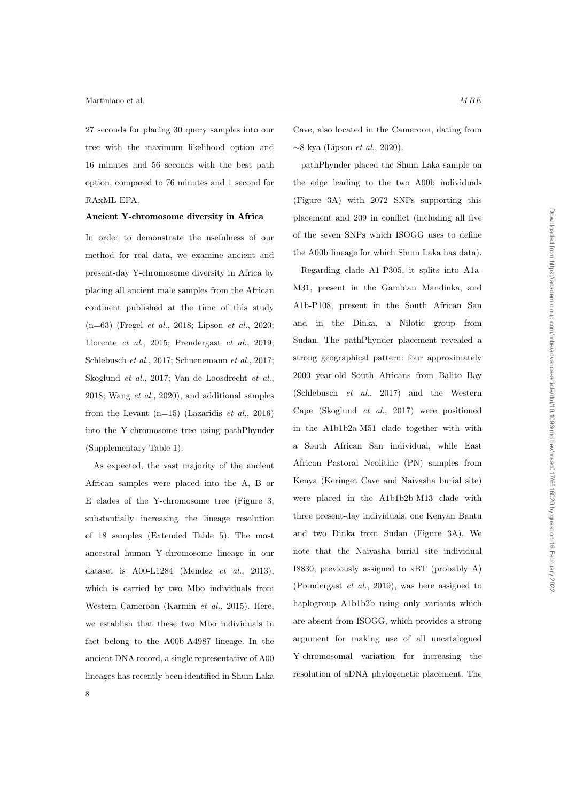27 seconds for placing 30 query samples into our tree with the maximum likelihood option and 16 minutes and 56 seconds with the best path option, compared to 76 minutes and 1 second for RAxML EPA.

## Ancient Y-chromosome diversity in Africa

In order to demonstrate the usefulness of our method for real data, we examine ancient and present-day Y-chromosome diversity in Africa by placing all ancient male samples from the African continent published at the time of this study (n=63) (Fregel et al., 2018; Lipson et al., 2020; Llorente et al., 2015; Prendergast et al., 2019; Schlebusch et al., 2017; Schuenemann et al., 2017; Skoglund et al., 2017; Van de Loosdrecht et al., 2018; Wang et al., 2020), and additional samples from the Levant  $(n=15)$  (Lazaridis *et al.*, 2016) into the Y-chromosome tree using pathPhynder (Supplementary Table 1).

As expected, the vast majority of the ancient African samples were placed into the A, B or E clades of the Y-chromosome tree (Figure 3, substantially increasing the lineage resolution of 18 samples (Extended Table 5). The most ancestral human Y-chromosome lineage in our dataset is  $A00-L1284$  (Mendez *et al.*, 2013), which is carried by two Mbo individuals from Western Cameroon (Karmin et al., 2015). Here, we establish that these two Mbo individuals in fact belong to the A00b-A4987 lineage. In the ancient DNA record, a single representative of A00 lineages has recently been identified in Shum Laka

Cave, also located in the Cameroon, dating from  $∼8$  kya (Lipson *et al.*, 2020).

pathPhynder placed the Shum Laka sample on the edge leading to the two A00b individuals (Figure 3A) with 2072 SNPs supporting this placement and 209 in conflict (including all five of the seven SNPs which ISOGG uses to define the A00b lineage for which Shum Laka has data).

Regarding clade A1-P305, it splits into A1a-M31, present in the Gambian Mandinka, and A1b-P108, present in the South African San and in the Dinka, a Nilotic group from Sudan. The pathPhynder placement revealed a strong geographical pattern: four approximately 2000 year-old South Africans from Balito Bay (Schlebusch et al., 2017) and the Western Cape (Skoglund et al., 2017) were positioned in the A1b1b2a-M51 clade together with with a South African San individual, while East African Pastoral Neolithic (PN) samples from Kenya (Keringet Cave and Naivasha burial site) were placed in the A1b1b2b-M13 clade with three present-day individuals, one Kenyan Bantu and two Dinka from Sudan (Figure 3A). We note that the Naivasha burial site individual I8830, previously assigned to xBT (probably A) (Prendergast et al., 2019), was here assigned to haplogroup A1b1b2b using only variants which are absent from ISOGG, which provides a strong argument for making use of all uncatalogued Y-chromosomal variation for increasing the resolution of aDNA phylogenetic placement. The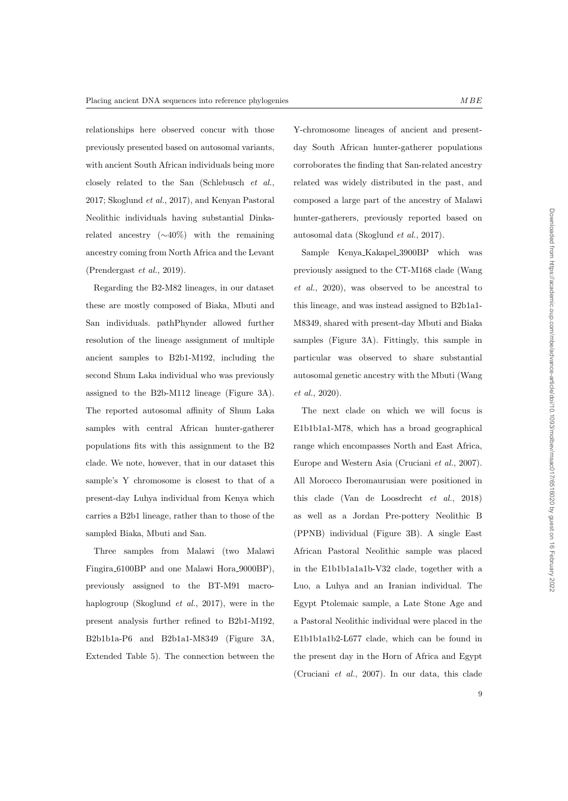relationships here observed concur with those previously presented based on autosomal variants, with ancient South African individuals being more closely related to the San (Schlebusch et al., 2017; Skoglund et al., 2017), and Kenyan Pastoral Neolithic individuals having substantial Dinkarelated ancestry (∼40%) with the remaining ancestry coming from North Africa and the Levant (Prendergast et al., 2019).

Regarding the B2-M82 lineages, in our dataset these are mostly composed of Biaka, Mbuti and San individuals. pathPhynder allowed further resolution of the lineage assignment of multiple ancient samples to B2b1-M192, including the second Shum Laka individual who was previously assigned to the B2b-M112 lineage (Figure 3A). The reported autosomal affinity of Shum Laka samples with central African hunter-gatherer populations fits with this assignment to the B2 clade. We note, however, that in our dataset this sample's Y chromosome is closest to that of a present-day Luhya individual from Kenya which carries a B2b1 lineage, rather than to those of the sampled Biaka, Mbuti and San.

Three samples from Malawi (two Malawi Fingira 6100BP and one Malawi Hora 9000BP), previously assigned to the BT-M91 macrohaplogroup (Skoglund et al., 2017), were in the present analysis further refined to B2b1-M192, B2b1b1a-P6 and B2b1a1-M8349 (Figure 3A, Extended Table 5). The connection between the Y-chromosome lineages of ancient and presentday South African hunter-gatherer populations corroborates the finding that San-related ancestry related was widely distributed in the past, and composed a large part of the ancestry of Malawi hunter-gatherers, previously reported based on autosomal data (Skoglund et al., 2017).

Sample Kenya Kakapel 3900BP which was previously assigned to the CT-M168 clade (Wang et al., 2020), was observed to be ancestral to this lineage, and was instead assigned to B2b1a1- M8349, shared with present-day Mbuti and Biaka samples (Figure 3A). Fittingly, this sample in particular was observed to share substantial autosomal genetic ancestry with the Mbuti (Wang et al., 2020).

The next clade on which we will focus is E1b1b1a1-M78, which has a broad geographical range which encompasses North and East Africa, Europe and Western Asia (Cruciani et al., 2007). All Morocco Iberomaurusian were positioned in this clade (Van de Loosdrecht et al., 2018) as well as a Jordan Pre-pottery Neolithic B (PPNB) individual (Figure 3B). A single East African Pastoral Neolithic sample was placed in the E1b1b1a1a1b-V32 clade, together with a Luo, a Luhya and an Iranian individual. The Egypt Ptolemaic sample, a Late Stone Age and a Pastoral Neolithic individual were placed in the E1b1b1a1b2-L677 clade, which can be found in the present day in the Horn of Africa and Egypt (Cruciani et al., 2007). In our data, this clade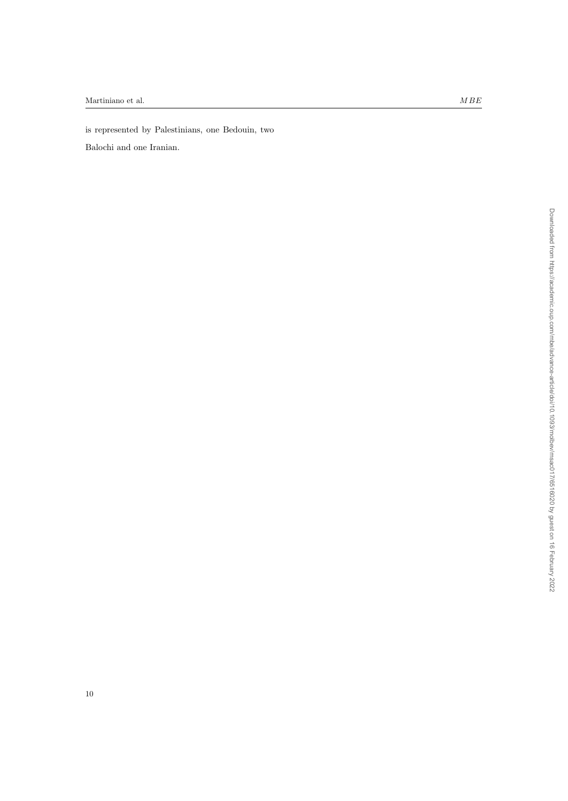is represented by Palestinians, one Bedouin, two

Balochi and one Iranian.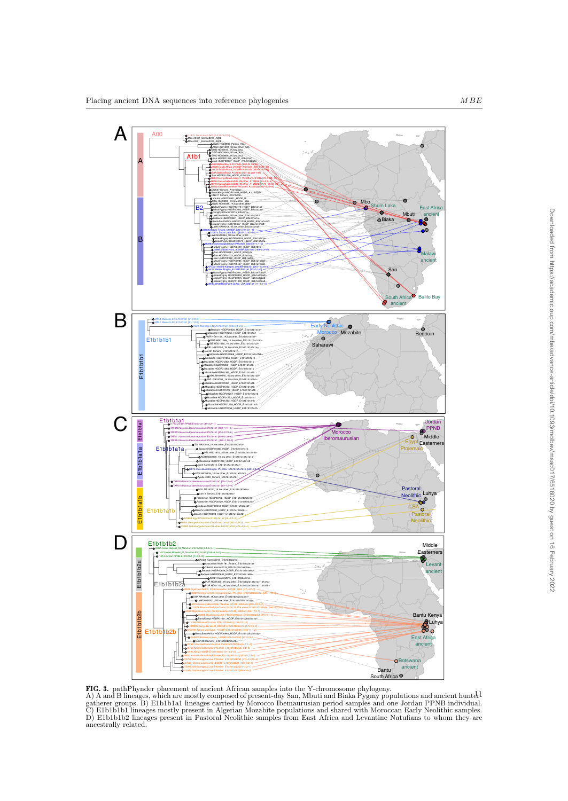

FIG. 3. pathPhynder placement of ancient African samples into the Y-chromosome phylogeny.

A) A and B lineages, which are mostly composed of present-day San, Mbuti and Biaka Pygmy populations and ancient huntergatherer groups. B) E1b1b1a1 lineages carried by Morocco Ibemaurusian period samples and one Jordan PPNB individual. C) E1b1b1b1 lineages mostly present in Algerian Mozabite populations and shared with Moroccan Early Neolithic samples. D) E1b1b1b2 lineages present in Pastoral Neolithic samples from East Africa and Levantine Natufians to whom they are ancestrally related.  $\frac{1}{2}$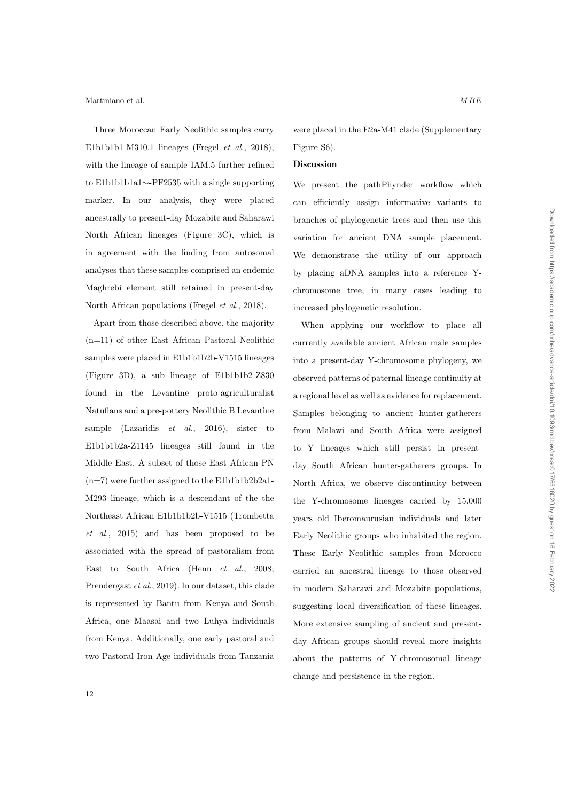#### Martiniano et al.  $MBE$

Three Moroccan Early Neolithic samples carry E1b1b1b1-M310.1 lineages (Fregel et al., 2018), with the lineage of sample IAM.5 further refined to E1b1b1b1a1∼-PF2535 with a single supporting marker. In our analysis, they were placed ancestrally to present-day Mozabite and Saharawi North African lineages (Figure 3C), which is in agreement with the finding from autosomal analyses that these samples comprised an endemic Maghrebi element still retained in present-day North African populations (Fregel et al., 2018).

Apart from those described above, the majority (n=11) of other East African Pastoral Neolithic samples were placed in E1b1b1b2b-V1515 lineages (Figure 3D), a sub lineage of E1b1b1b2-Z830 found in the Levantine proto-agriculturalist Natufians and a pre-pottery Neolithic B Levantine sample (Lazaridis  $et \ al., \ 2016$ ), sister to E1b1b1b2a-Z1145 lineages still found in the Middle East. A subset of those East African PN  $(n=7)$  were further assigned to the E1b1b1b2b2a1-M293 lineage, which is a descendant of the the Northeast African E1b1b1b2b-V1515 (Trombetta et al., 2015) and has been proposed to be associated with the spread of pastoralism from East to South Africa (Henn et al., 2008; Prendergast et al., 2019). In our dataset, this clade is represented by Bantu from Kenya and South Africa, one Maasai and two Luhya individuals from Kenya. Additionally, one early pastoral and two Pastoral Iron Age individuals from Tanzania were placed in the E2a-M41 clade (Supplementary Figure S6).

#### **Discussion**

We present the pathPhynder workflow which can efficiently assign informative variants to branches of phylogenetic trees and then use this variation for ancient DNA sample placement. We demonstrate the utility of our approach by placing aDNA samples into a reference Ychromosome tree, in many cases leading to increased phylogenetic resolution.

When applying our workflow to place all currently available ancient African male samples into a present-day Y-chromosome phylogeny, we observed patterns of paternal lineage continuity at a regional level as well as evidence for replacement. Samples belonging to ancient hunter-gatherers from Malawi and South Africa were assigned to Y lineages which still persist in presentday South African hunter-gatherers groups. In North Africa, we observe discontinuity between the Y-chromosome lineages carried by 15,000 years old Iberomaurusian individuals and later Early Neolithic groups who inhabited the region. These Early Neolithic samples from Morocco carried an ancestral lineage to those observed in modern Saharawi and Mozabite populations, suggesting local diversification of these lineages. More extensive sampling of ancient and presentday African groups should reveal more insights about the patterns of Y-chromosomal lineage change and persistence in the region.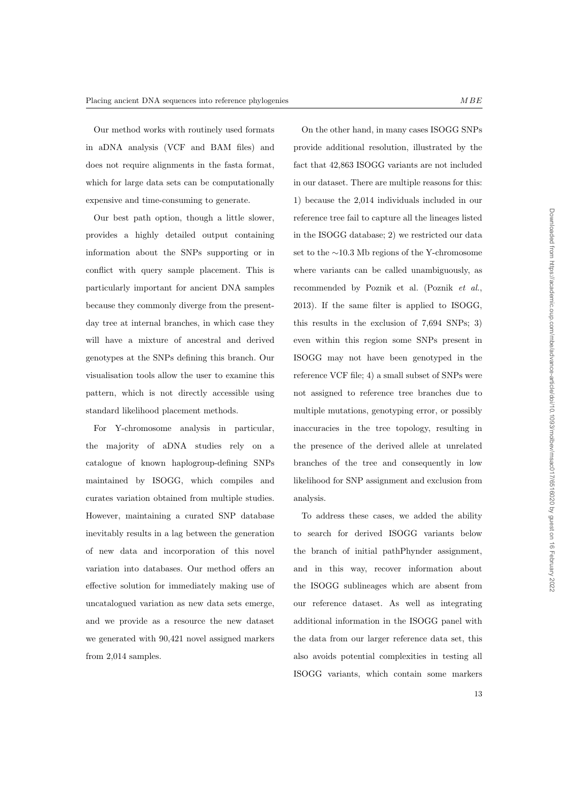Our method works with routinely used formats in aDNA analysis (VCF and BAM files) and does not require alignments in the fasta format, which for large data sets can be computationally expensive and time-consuming to generate.

Our best path option, though a little slower, provides a highly detailed output containing information about the SNPs supporting or in conflict with query sample placement. This is particularly important for ancient DNA samples because they commonly diverge from the presentday tree at internal branches, in which case they will have a mixture of ancestral and derived genotypes at the SNPs defining this branch. Our visualisation tools allow the user to examine this pattern, which is not directly accessible using standard likelihood placement methods.

For Y-chromosome analysis in particular, the majority of aDNA studies rely on a catalogue of known haplogroup-defining SNPs maintained by ISOGG, which compiles and curates variation obtained from multiple studies. However, maintaining a curated SNP database inevitably results in a lag between the generation of new data and incorporation of this novel variation into databases. Our method offers an effective solution for immediately making use of uncatalogued variation as new data sets emerge, and we provide as a resource the new dataset we generated with 90,421 novel assigned markers from 2,014 samples.

On the other hand, in many cases ISOGG SNPs provide additional resolution, illustrated by the fact that 42,863 ISOGG variants are not included in our dataset. There are multiple reasons for this: 1) because the 2,014 individuals included in our reference tree fail to capture all the lineages listed in the ISOGG database; 2) we restricted our data set to the ∼10.3 Mb regions of the Y-chromosome where variants can be called unambiguously, as recommended by Poznik et al. (Poznik et al., 2013). If the same filter is applied to ISOGG, this results in the exclusion of 7,694 SNPs; 3) even within this region some SNPs present in ISOGG may not have been genotyped in the reference VCF file; 4) a small subset of SNPs were not assigned to reference tree branches due to multiple mutations, genotyping error, or possibly inaccuracies in the tree topology, resulting in the presence of the derived allele at unrelated branches of the tree and consequently in low likelihood for SNP assignment and exclusion from analysis.

To address these cases, we added the ability to search for derived ISOGG variants below the branch of initial pathPhynder assignment, and in this way, recover information about the ISOGG sublineages which are absent from our reference dataset. As well as integrating additional information in the ISOGG panel with the data from our larger reference data set, this also avoids potential complexities in testing all ISOGG variants, which contain some markers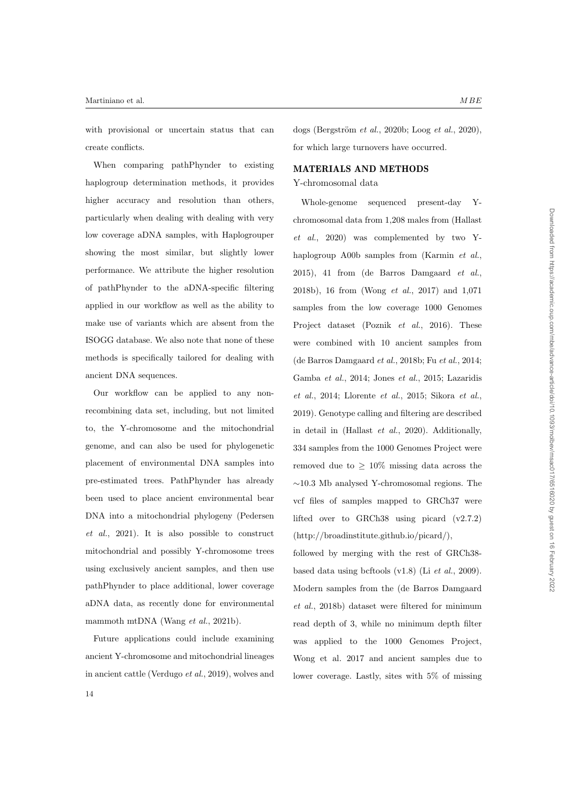with provisional or uncertain status that can create conflicts.

When comparing pathPhynder to existing haplogroup determination methods, it provides higher accuracy and resolution than others, particularly when dealing with dealing with very low coverage aDNA samples, with Haplogrouper showing the most similar, but slightly lower performance. We attribute the higher resolution of pathPhynder to the aDNA-specific filtering applied in our workflow as well as the ability to make use of variants which are absent from the ISOGG database. We also note that none of these methods is specifically tailored for dealing with ancient DNA sequences.

Our workflow can be applied to any nonrecombining data set, including, but not limited to, the Y-chromosome and the mitochondrial genome, and can also be used for phylogenetic placement of environmental DNA samples into pre-estimated trees. PathPhynder has already been used to place ancient environmental bear DNA into a mitochondrial phylogeny (Pedersen et al., 2021). It is also possible to construct mitochondrial and possibly Y-chromosome trees using exclusively ancient samples, and then use pathPhynder to place additional, lower coverage aDNA data, as recently done for environmental mammoth mtDNA (Wang *et al.*, 2021b).

Future applications could include examining ancient Y-chromosome and mitochondrial lineages in ancient cattle (Verdugo et al., 2019), wolves and dogs (Bergström et al., 2020b; Loog et al., 2020), for which large turnovers have occurred.

# MATERIALS AND METHODS

## Y-chromosomal data

Whole-genome sequenced present-day Ychromosomal data from 1,208 males from (Hallast et al., 2020) was complemented by two Yhaplogroup A00b samples from (Karmin et al., 2015), 41 from (de Barros Damgaard et al., 2018b), 16 from (Wong et al., 2017) and 1,071 samples from the low coverage 1000 Genomes Project dataset (Poznik *et al.*, 2016). These were combined with 10 ancient samples from (de Barros Damgaard et al., 2018b; Fu et al., 2014; Gamba et al., 2014; Jones et al., 2015; Lazaridis et al., 2014; Llorente et al., 2015; Sikora et al., 2019). Genotype calling and filtering are described in detail in (Hallast et al., 2020). Additionally, 334 samples from the 1000 Genomes Project were removed due to  $\geq 10\%$  missing data across the ∼10.3 Mb analysed Y-chromosomal regions. The vcf files of samples mapped to GRCh37 were lifted over to GRCh38 using picard (v2.7.2) (http://broadinstitute.github.io/picard/),

followed by merging with the rest of GRCh38 based data using bcftools  $(v1.8)$  (Li et al., 2009). Modern samples from the (de Barros Damgaard et al., 2018b) dataset were filtered for minimum read depth of 3, while no minimum depth filter was applied to the 1000 Genomes Project, Wong et al. 2017 and ancient samples due to lower coverage. Lastly, sites with 5% of missing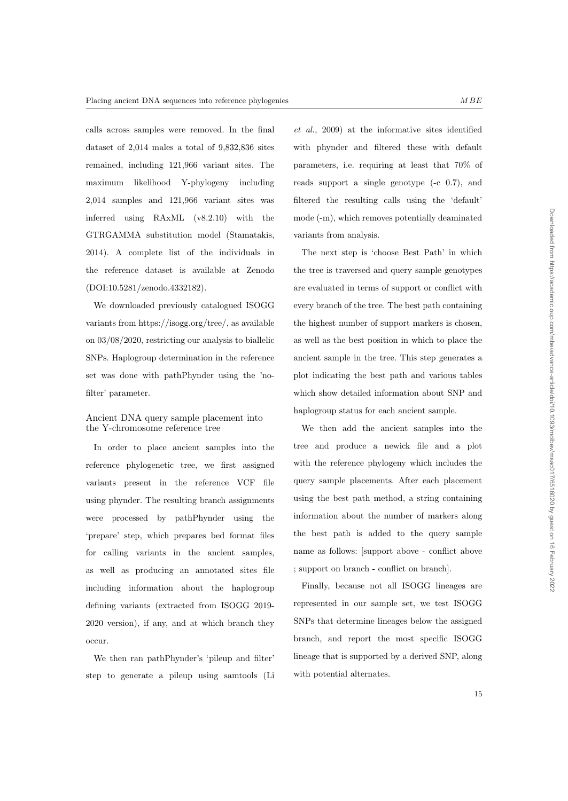Downloaded from https://academic.oup.com/mbe/advance-article/doi/10.1093/molbev/msac017/6516020 by guest on 16 February 2022 Downloaded from https://academic.oup.com/mbe/advance-article/doi/10.1093/molbev/msac017/6516020 by guest on 16 February 2022

calls across samples were removed. In the final dataset of 2,014 males a total of 9,832,836 sites remained, including 121,966 variant sites. The maximum likelihood Y-phylogeny including 2,014 samples and 121,966 variant sites was inferred using RAxML (v8.2.10) with the GTRGAMMA substitution model (Stamatakis, 2014). A complete list of the individuals in the reference dataset is available at Zenodo (DOI:10.5281/zenodo.4332182).

We downloaded previously catalogued ISOGG variants from https://isogg.org/tree/, as available on 03/08/2020, restricting our analysis to biallelic SNPs. Haplogroup determination in the reference set was done with pathPhynder using the 'nofilter' parameter.

## Ancient DNA query sample placement into the Y-chromosome reference tree

In order to place ancient samples into the reference phylogenetic tree, we first assigned variants present in the reference VCF file using phynder. The resulting branch assignments were processed by pathPhynder using the 'prepare' step, which prepares bed format files for calling variants in the ancient samples, as well as producing an annotated sites file including information about the haplogroup defining variants (extracted from ISOGG 2019- 2020 version), if any, and at which branch they occur.

We then ran pathPhynder's 'pileup and filter' step to generate a pileup using samtools (Li

et al., 2009) at the informative sites identified with phynder and filtered these with default parameters, i.e. requiring at least that 70% of reads support a single genotype (-c 0.7), and filtered the resulting calls using the 'default' mode (-m), which removes potentially deaminated variants from analysis.

The next step is 'choose Best Path' in which the tree is traversed and query sample genotypes are evaluated in terms of support or conflict with every branch of the tree. The best path containing the highest number of support markers is chosen, as well as the best position in which to place the ancient sample in the tree. This step generates a plot indicating the best path and various tables which show detailed information about SNP and haplogroup status for each ancient sample.

We then add the ancient samples into the tree and produce a newick file and a plot with the reference phylogeny which includes the query sample placements. After each placement using the best path method, a string containing information about the number of markers along the best path is added to the query sample name as follows: [support above - conflict above ; support on branch - conflict on branch].

Finally, because not all ISOGG lineages are represented in our sample set, we test ISOGG SNPs that determine lineages below the assigned branch, and report the most specific ISOGG lineage that is supported by a derived SNP, along with potential alternates.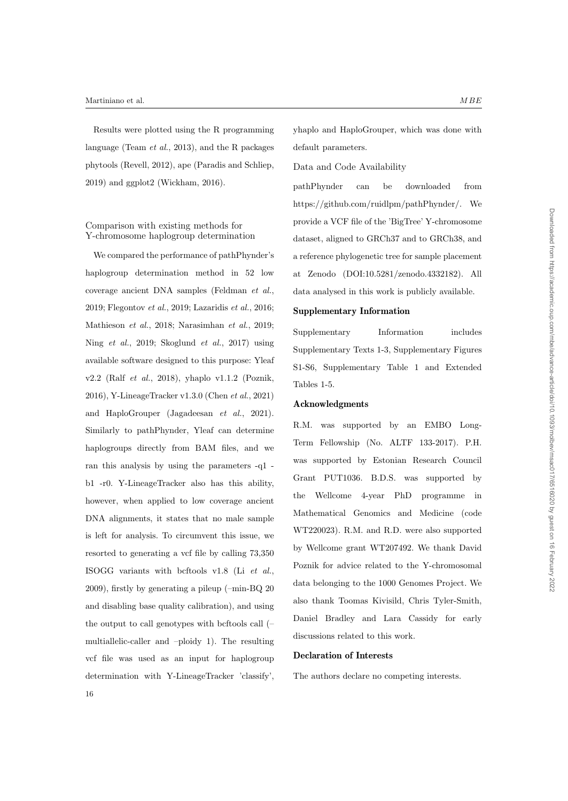Results were plotted using the R programming language (Team et al., 2013), and the R packages phytools (Revell, 2012), ape (Paradis and Schliep, 2019) and ggplot2 (Wickham, 2016).

## Comparison with existing methods for Y-chromosome haplogroup determination

We compared the performance of pathPhynder's haplogroup determination method in 52 low coverage ancient DNA samples (Feldman et al., 2019; Flegontov et al., 2019; Lazaridis et al., 2016; Mathieson et al., 2018; Narasimhan et al., 2019; Ning et al., 2019; Skoglund et al., 2017) using available software designed to this purpose: Yleaf v2.2 (Ralf et al., 2018), yhaplo v1.1.2 (Poznik, 2016), Y-LineageTracker v1.3.0 (Chen et al., 2021) and HaploGrouper (Jagadeesan et al., 2021). Similarly to pathPhynder, Yleaf can determine haplogroups directly from BAM files, and we ran this analysis by using the parameters -q1 b1 -r0. Y-LineageTracker also has this ability, however, when applied to low coverage ancient DNA alignments, it states that no male sample is left for analysis. To circumvent this issue, we resorted to generating a vcf file by calling 73,350 ISOGG variants with bcftools v1.8 (Li et al., 2009), firstly by generating a pileup (–min-BQ 20 and disabling base quality calibration), and using the output to call genotypes with bcftools call (– multiallelic-caller and –ploidy 1). The resulting vcf file was used as an input for haplogroup determination with Y-LineageTracker 'classify', 16

yhaplo and HaploGrouper, which was done with default parameters.

## Data and Code Availability

pathPhynder can be downloaded from https://github.com/ruidlpm/pathPhynder/. We provide a VCF file of the 'BigTree' Y-chromosome dataset, aligned to GRCh37 and to GRCh38, and a reference phylogenetic tree for sample placement at Zenodo (DOI:10.5281/zenodo.4332182). All data analysed in this work is publicly available.

## Supplementary Information

Supplementary Information includes Supplementary Texts 1-3, Supplementary Figures S1-S6, Supplementary Table 1 and Extended Tables 1-5.

#### Acknowledgments

R.M. was supported by an EMBO Long-Term Fellowship (No. ALTF 133-2017). P.H. was supported by Estonian Research Council Grant PUT1036. B.D.S. was supported by the Wellcome 4-year PhD programme in Mathematical Genomics and Medicine (code WT220023). R.M. and R.D. were also supported by Wellcome grant WT207492. We thank David Poznik for advice related to the Y-chromosomal data belonging to the 1000 Genomes Project. We also thank Toomas Kivisild, Chris Tyler-Smith, Daniel Bradley and Lara Cassidy for early discussions related to this work.

## Declaration of Interests

The authors declare no competing interests.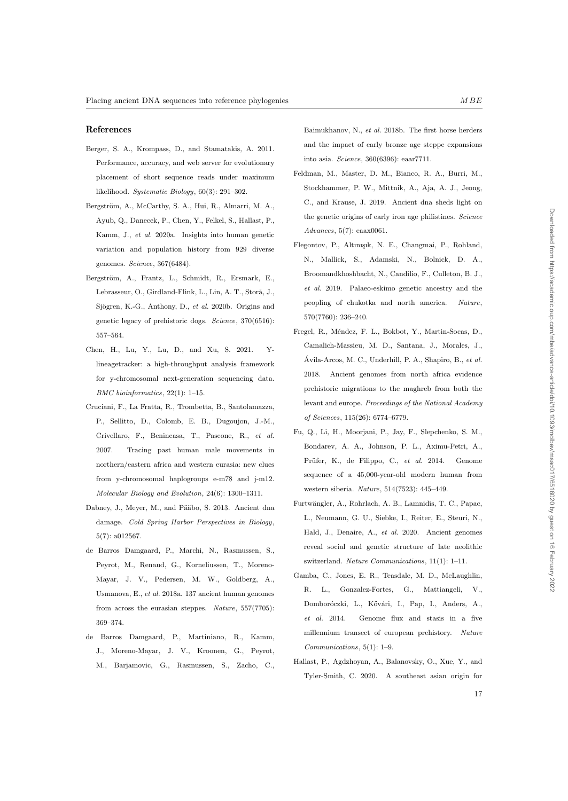#### References

- Berger, S. A., Krompass, D., and Stamatakis, A. 2011. Performance, accuracy, and web server for evolutionary placement of short sequence reads under maximum likelihood. Systematic Biology, 60(3): 291–302.
- Bergström, A., McCarthy, S. A., Hui, R., Almarri, M. A., Ayub, Q., Danecek, P., Chen, Y., Felkel, S., Hallast, P., Kamm, J., et al. 2020a. Insights into human genetic variation and population history from 929 diverse genomes. Science, 367(6484).
- Bergström, A., Frantz, L., Schmidt, R., Ersmark, E., Lebrasseur, O., Girdland-Flink, L., Lin, A. T., Storå, J., Sjögren, K.-G., Anthony, D., et al. 2020b. Origins and genetic legacy of prehistoric dogs. Science, 370(6516): 557–564.
- Chen, H., Lu, Y., Lu, D., and Xu, S. 2021. Ylineagetracker: a high-throughput analysis framework for y-chromosomal next-generation sequencing data. BMC bioinformatics, 22(1): 1–15.
- Cruciani, F., La Fratta, R., Trombetta, B., Santolamazza, P., Sellitto, D., Colomb, E. B., Dugoujon, J.-M., Crivellaro, F., Benincasa, T., Pascone, R., et al. 2007. Tracing past human male movements in northern/eastern africa and western eurasia: new clues from y-chromosomal haplogroups e-m78 and j-m12. Molecular Biology and Evolution, 24(6): 1300–1311.
- Dabney, J., Meyer, M., and Pääbo, S. 2013. Ancient dna damage. Cold Spring Harbor Perspectives in Biology, 5(7): a012567.
- de Barros Damgaard, P., Marchi, N., Rasmussen, S., Peyrot, M., Renaud, G., Korneliussen, T., Moreno-Mayar, J. V., Pedersen, M. W., Goldberg, A., Usmanova, E., et al. 2018a. 137 ancient human genomes from across the eurasian steppes. Nature, 557(7705): 369–374.
- de Barros Damgaard, P., Martiniano, R., Kamm, J., Moreno-Mayar, J. V., Kroonen, G., Peyrot, M., Barjamovic, G., Rasmussen, S., Zacho, C.,

Baimukhanov, N., et al. 2018b. The first horse herders and the impact of early bronze age steppe expansions into asia. Science, 360(6396): eaar7711.

- Feldman, M., Master, D. M., Bianco, R. A., Burri, M., Stockhammer, P. W., Mittnik, A., Aja, A. J., Jeong, C., and Krause, J. 2019. Ancient dna sheds light on the genetic origins of early iron age philistines. Science Advances, 5(7): eaax0061.
- Flegontov, P., Altınışık, N. E., Changmai, P., Rohland, N., Mallick, S., Adamski, N., Bolnick, D. A., Broomandkhoshbacht, N., Candilio, F., Culleton, B. J., et al. 2019. Palaeo-eskimo genetic ancestry and the peopling of chukotka and north america. Nature, 570(7760): 236–240.
- Fregel, R., Méndez, F. L., Bokbot, Y., Martin-Socas, D., Camalich-Massieu, M. D., Santana, J., Morales, J., Ávila-Arcos, M. C., Underhill, P. A., Shapiro, B.,  $et$   $al.$ 2018. Ancient genomes from north africa evidence prehistoric migrations to the maghreb from both the levant and europe. Proceedings of the National Academy of Sciences, 115(26): 6774–6779.
- Fu, Q., Li, H., Moorjani, P., Jay, F., Slepchenko, S. M., Bondarev, A. A., Johnson, P. L., Aximu-Petri, A., Prüfer, K., de Filippo, C., et al. 2014. Genome sequence of a 45,000-year-old modern human from western siberia. Nature, 514(7523): 445–449.
- Furtw¨angler, A., Rohrlach, A. B., Lamnidis, T. C., Papac, L., Neumann, G. U., Siebke, I., Reiter, E., Steuri, N., Hald, J., Denaire, A., et al. 2020. Ancient genomes reveal social and genetic structure of late neolithic switzerland. Nature Communications, 11(1): 1–11.
- Gamba, C., Jones, E. R., Teasdale, M. D., McLaughlin, R. L., Gonzalez-Fortes, G., Mattiangeli, Domboróczki, L., Kővári, I., Pap, I., Anders, A., et al. 2014. Genome flux and stasis in a five millennium transect of european prehistory. Nature Communications, 5(1): 1–9.
- Hallast, P., Agdzhoyan, A., Balanovsky, O., Xue, Y., and Tyler-Smith, C. 2020. A southeast asian origin for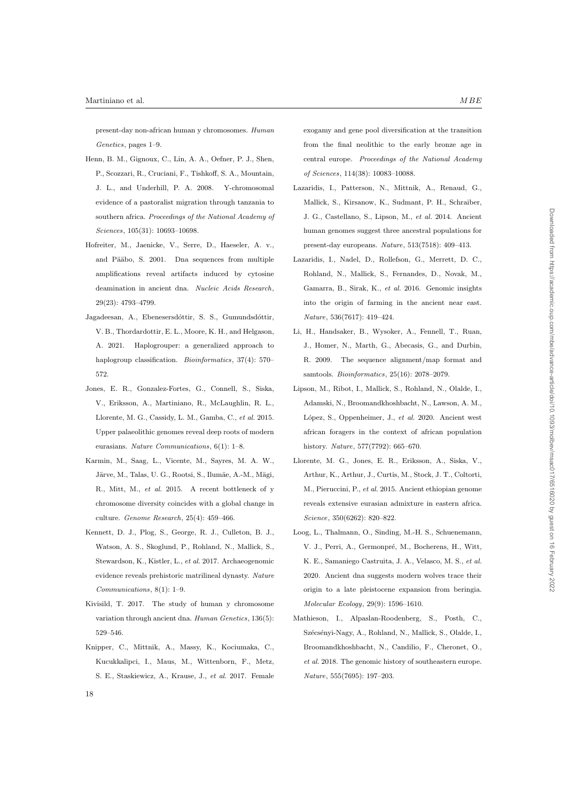present-day non-african human y chromosomes. Human Genetics, pages 1–9.

- Henn, B. M., Gignoux, C., Lin, A. A., Oefner, P. J., Shen, P., Scozzari, R., Cruciani, F., Tishkoff, S. A., Mountain, J. L., and Underhill, P. A. 2008. Y-chromosomal evidence of a pastoralist migration through tanzania to southern africa. Proceedings of the National Academy of Sciences, 105(31): 10693–10698.
- Hofreiter, M., Jaenicke, V., Serre, D., Haeseler, A. v., and Pääbo, S. 2001. Dna sequences from multiple amplifications reveal artifacts induced by cytosine deamination in ancient dna. Nucleic Acids Research, 29(23): 4793–4799.
- Jagadeesan, A., Ebenesersdóttir, S. S., Gumundsdóttir, V. B., Thordardottir, E. L., Moore, K. H., and Helgason, A. 2021. Haplogrouper: a generalized approach to haplogroup classification. *Bioinformatics*, 37(4): 570– 572.
- Jones, E. R., Gonzalez-Fortes, G., Connell, S., Siska, V., Eriksson, A., Martiniano, R., McLaughlin, R. L., Llorente, M. G., Cassidy, L. M., Gamba, C., et al. 2015. Upper palaeolithic genomes reveal deep roots of modern eurasians. Nature Communications, 6(1): 1–8.
- Karmin, M., Saag, L., Vicente, M., Sayres, M. A. W., Järve, M., Talas, U. G., Rootsi, S., Ilumäe, A.-M., Mägi, R., Mitt, M., et al. 2015. A recent bottleneck of y chromosome diversity coincides with a global change in culture. Genome Research, 25(4): 459–466.
- Kennett, D. J., Plog, S., George, R. J., Culleton, B. J., Watson, A. S., Skoglund, P., Rohland, N., Mallick, S., Stewardson, K., Kistler, L., et al. 2017. Archaeogenomic evidence reveals prehistoric matrilineal dynasty. Nature Communications, 8(1): 1–9.
- Kivisild, T. 2017. The study of human y chromosome variation through ancient dna. Human Genetics, 136(5): 529–546.
- Knipper, C., Mittnik, A., Massy, K., Kociumaka, C., Kucukkalipci, I., Maus, M., Wittenborn, F., Metz, S. E., Staskiewicz, A., Krause, J., et al. 2017. Female

exogamy and gene pool diversification at the transition from the final neolithic to the early bronze age in central europe. Proceedings of the National Academy of Sciences, 114(38): 10083–10088.

- Lazaridis, I., Patterson, N., Mittnik, A., Renaud, G., Mallick, S., Kirsanow, K., Sudmant, P. H., Schraiber, J. G., Castellano, S., Lipson, M., et al. 2014. Ancient human genomes suggest three ancestral populations for present-day europeans. Nature, 513(7518): 409–413.
- Lazaridis, I., Nadel, D., Rollefson, G., Merrett, D. C., Rohland, N., Mallick, S., Fernandes, D., Novak, M., Gamarra, B., Sirak, K., et al. 2016. Genomic insights into the origin of farming in the ancient near east. Nature, 536(7617): 419–424.
- Li, H., Handsaker, B., Wysoker, A., Fennell, T., Ruan, J., Homer, N., Marth, G., Abecasis, G., and Durbin, R. 2009. The sequence alignment/map format and samtools. Bioinformatics, 25(16): 2078–2079.
- Lipson, M., Ribot, I., Mallick, S., Rohland, N., Olalde, I., Adamski, N., Broomandkhoshbacht, N., Lawson, A. M., López, S., Oppenheimer, J., et al. 2020. Ancient west african foragers in the context of african population history. Nature, 577(7792): 665–670.
- Llorente, M. G., Jones, E. R., Eriksson, A., Siska, V., Arthur, K., Arthur, J., Curtis, M., Stock, J. T., Coltorti, M., Pieruccini, P., et al. 2015. Ancient ethiopian genome reveals extensive eurasian admixture in eastern africa. Science, 350(6262): 820–822.
- Loog, L., Thalmann, O., Sinding, M.-H. S., Schuenemann, V. J., Perri, A., Germonpré, M., Bocherens, H., Witt, K. E., Samaniego Castruita, J. A., Velasco, M. S., et al. 2020. Ancient dna suggests modern wolves trace their origin to a late pleistocene expansion from beringia. Molecular Ecology, 29(9): 1596–1610.
- Mathieson, I., Alpaslan-Roodenberg, S., Posth, C., Szécsényi-Nagy, A., Rohland, N., Mallick, S., Olalde, I., Broomandkhoshbacht, N., Candilio, F., Cheronet, O., et al. 2018. The genomic history of southeastern europe. Nature, 555(7695): 197–203.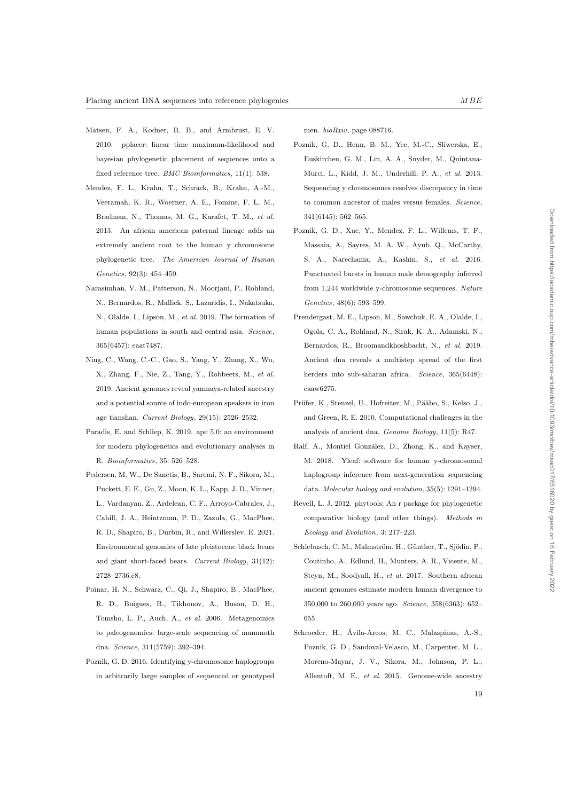- Matsen, F. A., Kodner, R. B., and Armbrust, E. V. 2010. pplacer: linear time maximum-likelihood and bayesian phylogenetic placement of sequences onto a fixed reference tree. *BMC Bioinformatics*, 11(1): 538.
- Mendez, F. L., Krahn, T., Schrack, B., Krahn, A.-M., Veeramah, K. R., Woerner, A. E., Fomine, F. L. M., Bradman, N., Thomas, M. G., Karafet, T. M., et al. 2013. An african american paternal lineage adds an extremely ancient root to the human y chromosome phylogenetic tree. The American Journal of Human Genetics, 92(3): 454–459.
- Narasimhan, V. M., Patterson, N., Moorjani, P., Rohland, N., Bernardos, R., Mallick, S., Lazaridis, I., Nakatsuka, N., Olalde, I., Lipson, M., et al. 2019. The formation of human populations in south and central asia. Science, 365(6457): eaat7487.
- Ning, C., Wang, C.-C., Gao, S., Yang, Y., Zhang, X., Wu, X., Zhang, F., Nie, Z., Tang, Y., Robbeets, M., et al. 2019. Ancient genomes reveal yamnaya-related ancestry and a potential source of indo-european speakers in iron age tianshan. Current Biology, 29(15): 2526–2532.
- Paradis, E. and Schliep, K. 2019. ape 5.0: an environment for modern phylogenetics and evolutionary analyses in R. Bioinformatics, 35: 526–528.
- Pedersen, M. W., De Sanctis, B., Saremi, N. F., Sikora, M., Puckett, E. E., Gu, Z., Moon, K. L., Kapp, J. D., Vinner, L., Vardanyan, Z., Ardelean, C. F., Arroyo-Cabrales, J., Cahill, J. A., Heintzman, P. D., Zazula, G., MacPhee, R. D., Shapiro, B., Durbin, R., and Willerslev, E. 2021. Environmental genomics of late pleistocene black bears and giant short-faced bears. Current Biology, 31(12): 2728–2736.e8.
- Poinar, H. N., Schwarz, C., Qi, J., Shapiro, B., MacPhee, R. D., Buigues, B., Tikhonov, A., Huson, D. H., Tomsho, L. P., Auch, A., et al. 2006. Metagenomics to paleogenomics: large-scale sequencing of mammoth dna. Science, 311(5759): 392–394.
- Poznik, G. D. 2016. Identifying y-chromosome haplogroups in arbitrarily large samples of sequenced or genotyped

men. bioRxiv, page 088716.

- Poznik, G. D., Henn, B. M., Yee, M.-C., Sliwerska, E., Euskirchen, G. M., Lin, A. A., Snyder, M., Quintana-Murci, L., Kidd, J. M., Underhill, P. A., et al. 2013. Sequencing y chromosomes resolves discrepancy in time to common ancestor of males versus females. Science, 341(6145): 562–565.
- Poznik, G. D., Xue, Y., Mendez, F. L., Willems, T. F., Massaia, A., Sayres, M. A. W., Ayub, Q., McCarthy, S. A., Narechania, A., Kashin, S., et al. 2016. Punctuated bursts in human male demography inferred from 1,244 worldwide y-chromosome sequences. Nature Genetics, 48(6): 593–599.
- Prendergast, M. E., Lipson, M., Sawchuk, E. A., Olalde, I., Ogola, C. A., Rohland, N., Sirak, K. A., Adamski, N., Bernardos, R., Broomandkhoshbacht, N., et al. 2019. Ancient dna reveals a multistep spread of the first herders into sub-saharan africa. Science, 365(6448): eaaw6275.
- Prüfer, K., Stenzel, U., Hofreiter, M., Pääbo, S., Kelso, J., and Green, R. E. 2010. Computational challenges in the analysis of ancient dna. Genome Biology, 11(5): R47.
- Ralf, A., Montiel González, D., Zhong, K., and Kayser, M. 2018. Yleaf: software for human y-chromosomal haplogroup inference from next-generation sequencing data. Molecular biology and evolution, 35(5): 1291–1294.
- Revell, L. J. 2012. phytools: An r package for phylogenetic comparative biology (and other things). Methods in Ecology and Evolution, 3: 217–223.
- Schlebusch, C. M., Malmström, H., Günther, T., Sjödin, P., Coutinho, A., Edlund, H., Munters, A. R., Vicente, M., Steyn, M., Soodyall, H., et al. 2017. Southern african ancient genomes estimate modern human divergence to 350,000 to 260,000 years ago. Science, 358(6363): 652– 655.
- Schroeder, H., Avila-Arcos, M. C., Malaspinas, A.-S., ´ Poznik, G. D., Sandoval-Velasco, M., Carpenter, M. L., Moreno-Mayar, J. V., Sikora, M., Johnson, P. L., Allentoft, M. E., et al. 2015. Genome-wide ancestry